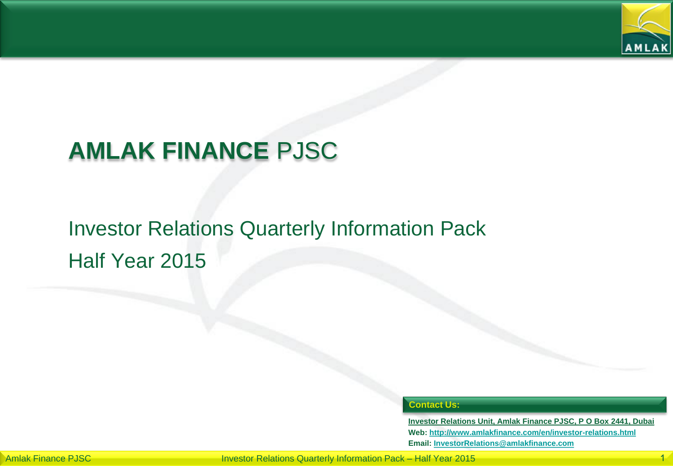

# **AMLAK FINANCE** PJSC

# Investor Relations Quarterly Information Pack Half Year 2015

### **Contact Us:**

**Investor Relations Unit, Amlak Finance PJSC, P O Box 2441, Dubai Web: <http://www.amlakfinance.com/en/investor-relations.html> Email: [InvestorRelations@amlakfinance.com](mailto:InvestorRelations@amlakfinance.com)**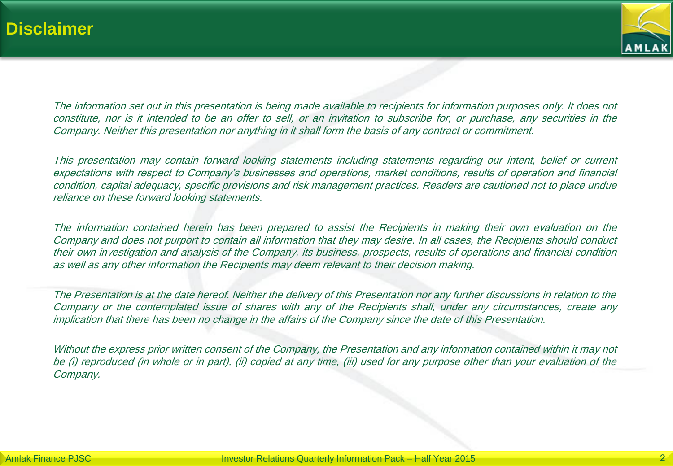

The information set out in this presentation is being made available to recipients for information purposes only. It does not constitute, nor is it intended to be an offer to sell, or an invitation to subscribe for, or purchase, any securities in the Company. Neither this presentation nor anything in it shall form the basis of any contract or commitment.

This presentation may contain forward looking statements including statements regarding our intent, belief or current expectations with respect to Company's businesses and operations, market conditions, results of operation and financial condition, capital adequacy, specific provisions and risk management practices. Readers are cautioned not to place undue reliance on these forward looking statements.

The information contained herein has been prepared to assist the Recipients in making their own evaluation on the Company and does not purport to contain all information that they may desire. In all cases, the Recipients should conduct their own investigation and analysis of the Company, its business, prospects, results of operations and financial condition as well as any other information the Recipients may deem relevant to their decision making.

The Presentation is at the date hereof. Neither the delivery of this Presentation nor any further discussions in relation to the Company or the contemplated issue of shares with any of the Recipients shall, under any circumstances, create any implication that there has been no change in the affairs of the Company since the date of this Presentation.

Without the express prior written consent of the Company, the Presentation and any information contained within it may not be (i) reproduced (in whole or in part), (ii) copied at any time, (iii) used for any purpose other than your evaluation of the Company.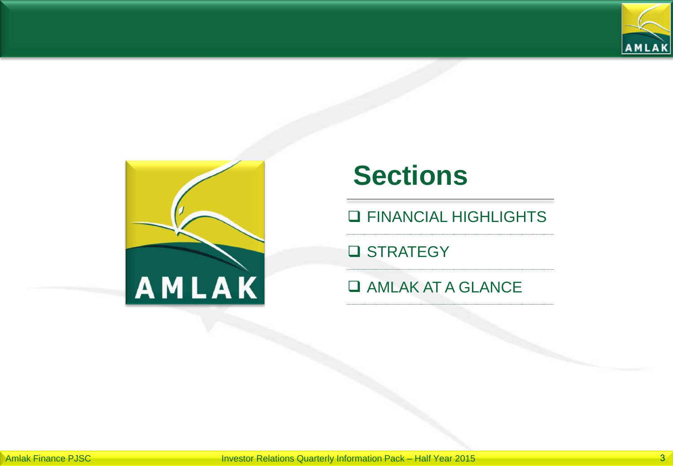



# **Sections**

**Q FINANCIAL HIGHLIGHTS** 

**Q** STRATEGY

**Q AMLAK AT A GLANCE**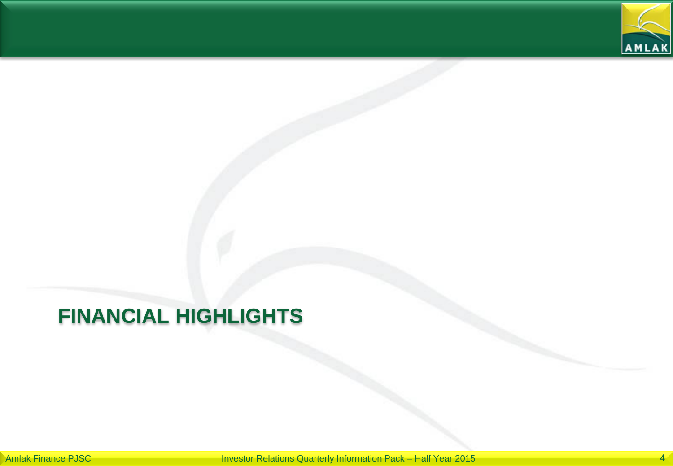

# **FINANCIAL HIGHLIGHTS**

Amlak Finance PJSC **Investor Relations Quarterly Information Pack – Half Year 2015**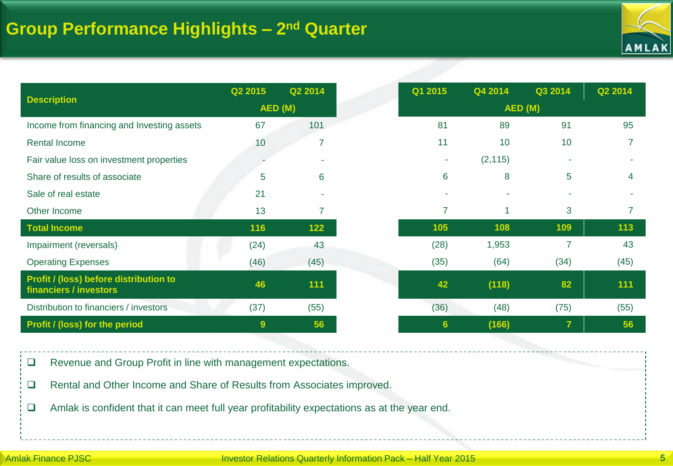

| <b>Description</b>                                               | Q2 2015 | Q2 2014 | Q1 2015         | Q4 2014  | Q3 2014        | Q2 2014 |
|------------------------------------------------------------------|---------|---------|-----------------|----------|----------------|---------|
|                                                                  | AED (M) |         | AED (M)         |          |                |         |
| Income from financing and Investing assets                       | 67      | 101     | 81              | 89       | 91             | 95      |
| Rental Income                                                    | 10      |         | 11              | 10       | 10             |         |
| Fair value loss on investment properties                         |         |         | ٠               | (2, 115) |                |         |
| Share of results of associate                                    | 5       | 6       | 6               | 8        | 5              | 4       |
| Sale of real estate                                              | 21      |         |                 |          |                |         |
| Other Income                                                     | 13      |         | 7               | 1        | 3              |         |
| <b>Total Income</b>                                              | 116     | 122     | 105             | 108      | 109            | 113     |
| Impairment (reversals)                                           | (24)    | 43      | (28)            | 1,953    | 7              | 43      |
| <b>Operating Expenses</b>                                        | (46)    | (45)    | (35)            | (64)     | (34)           | (45)    |
| Profit / (loss) before distribution to<br>financiers / investors | 46      | 111     | 42              | (118)    | 82             | 111     |
| Distribution to financiers / investors                           | (37)    | (55)    | (36)            | (48)     | (75)           | (55)    |
| <b>Profit / (loss) for the period</b>                            | 9       | 56      | $6\phantom{1}6$ | (166)    | $\overline{7}$ | 56      |

Revenue and Group Profit in line with management expectations.

□ Rental and Other Income and Share of Results from Associates improved.

Amlak is confident that it can meet full year profitability expectations as at the year end.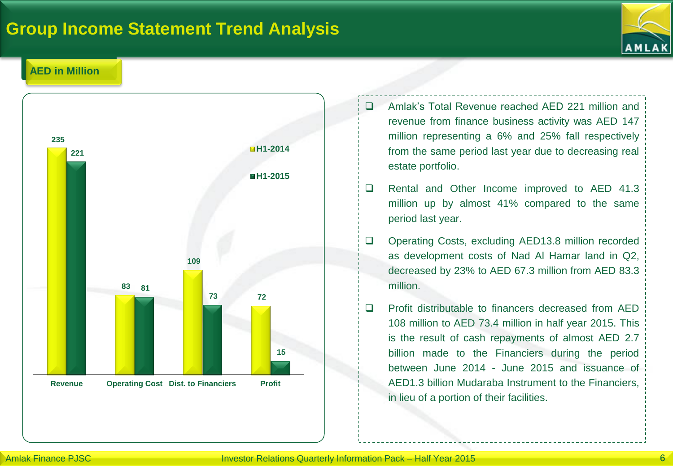### **Group Income Statement Trend Analysis**



### **AED in Million**



- Amlak's Total Revenue reached AED 221 million and revenue from finance business activity was AED 147 million representing a 6% and 25% fall respectively from the same period last year due to decreasing real estate portfolio.
- □ Rental and Other Income improved to AED 41.3 million up by almost 41% compared to the same period last year.
- □ Operating Costs, excluding AED13.8 million recorded as development costs of Nad Al Hamar land in Q2, decreased by 23% to AED 67.3 million from AED 83.3 million.
- □ Profit distributable to financers decreased from AED 108 million to AED 73.4 million in half year 2015. This is the result of cash repayments of almost AED 2.7 billion made to the Financiers during the period between June 2014 - June 2015 and issuance of AED1.3 billion Mudaraba Instrument to the Financiers, in lieu of a portion of their facilities.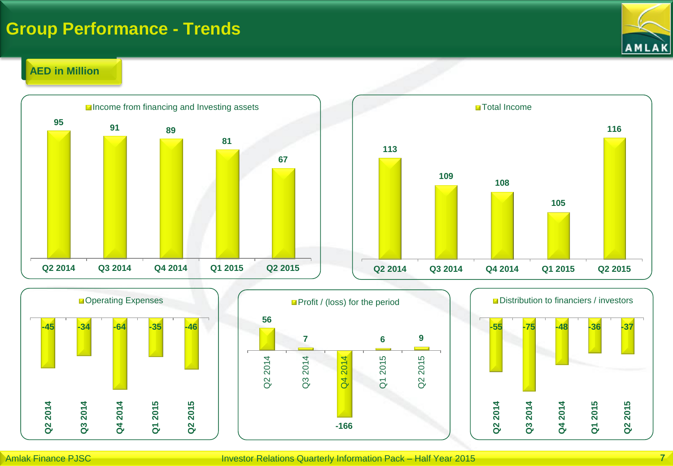### **Group Performance - Trends**



**116**

### **AED in Million**







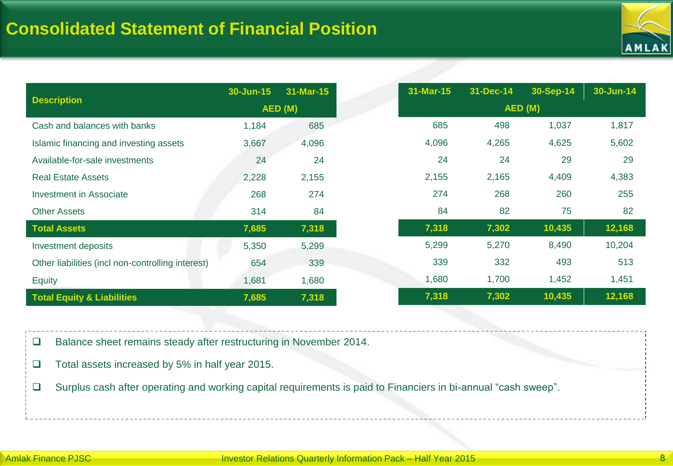

| <b>Description</b>                                | 30-Jun-15 | 31-Mar-15 |         | 31-Mar-15 | 31-Dec-14 | 30-Sep-14 | 30-Jun-14 |
|---------------------------------------------------|-----------|-----------|---------|-----------|-----------|-----------|-----------|
|                                                   | AED (M)   |           | AED (M) |           |           |           |           |
| Cash and balances with banks                      | 1,184     | 685       |         | 685       | 498       | 1,037     | 1,817     |
| Islamic financing and investing assets            | 3,667     | 4,096     |         | 4,096     | 4,265     | 4,625     | 5,602     |
| Available-for-sale investments                    | 24        | 24        |         | 24        | 24        | 29        | 29        |
| <b>Real Estate Assets</b>                         | 2,228     | 2,155     |         | 2,155     | 2,165     | 4,409     | 4,383     |
| Investment in Associate                           | 268       | 274       |         | 274       | 268       | 260       | 255       |
| <b>Other Assets</b>                               | 314       | 84        |         | 84        | 82        | 75        | 82        |
| <b>Total Assets</b>                               | 7,685     | 7,318     |         | 7,318     | 7,302     | 10,435    | 12,168    |
| Investment deposits                               | 5,350     | 5,299     |         | 5,299     | 5,270     | 8,490     | 10,204    |
| Other liabilities (incl non-controlling interest) | 654       | 339       |         | 339       | 332       | 493       | 513       |
| <b>Equity</b>                                     | 1,681     | 1,680     |         | 1,680     | 1,700     | 1,452     | 1,451     |
| <b>Total Equity &amp; Liabilities</b>             | 7,685     | 7,318     |         | 7,318     | 7,302     | 10,435    | 12,168    |

□ Balance sheet remains steady after restructuring in November 2014.

- $\Box$  Total assets increased by 5% in half year 2015.
- Surplus cash after operating and working capital requirements is paid to Financiers in bi-annual "cash sweep".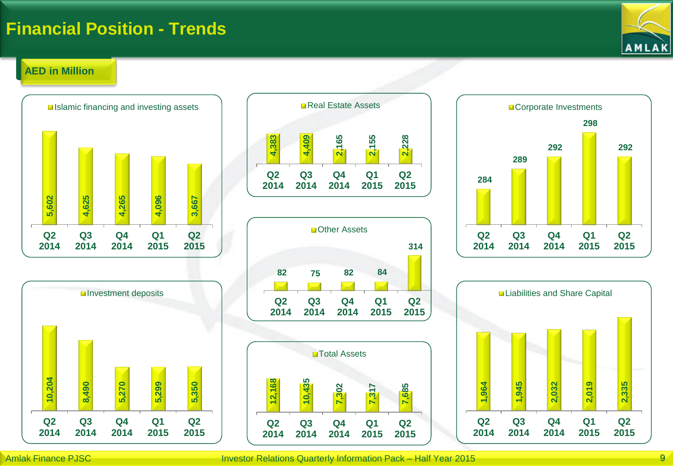### **Financial Position - Trends**



### **AED in Million**













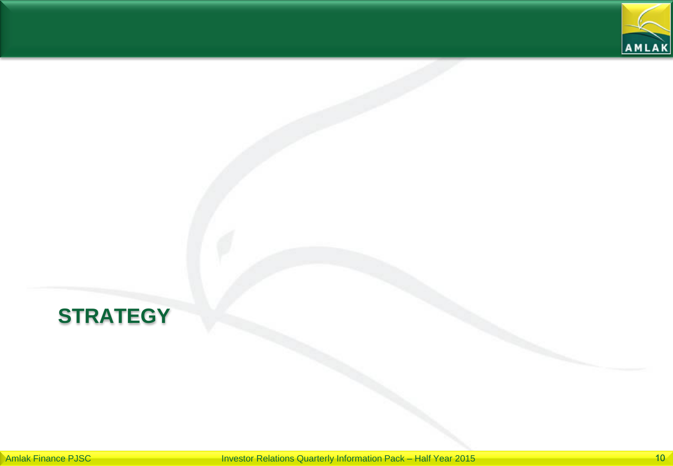

# **STRATEGY**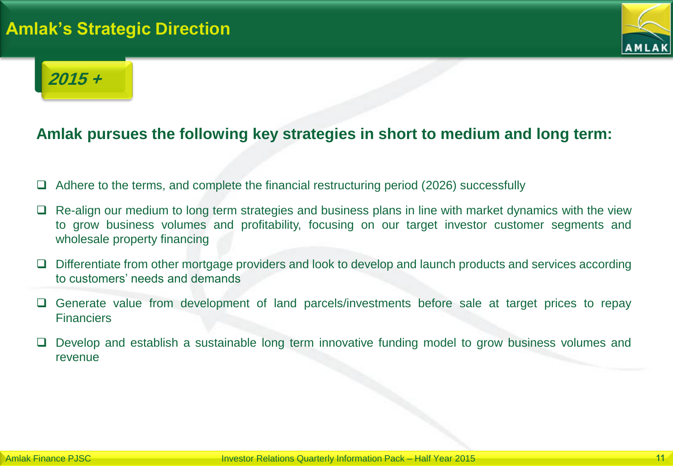### **Amlak's Strategic Direction**



## **2015 +**

### **Amlak pursues the following key strategies in short to medium and long term:**

- Adhere to the terms, and complete the financial restructuring period (2026) successfully
- Re-align our medium to long term strategies and business plans in line with market dynamics with the view to grow business volumes and profitability, focusing on our target investor customer segments and wholesale property financing
- $\Box$  Differentiate from other mortgage providers and look to develop and launch products and services according to customers' needs and demands
- Generate value from development of land parcels/investments before sale at target prices to repay **Financiers**
- Develop and establish a sustainable long term innovative funding model to grow business volumes and revenue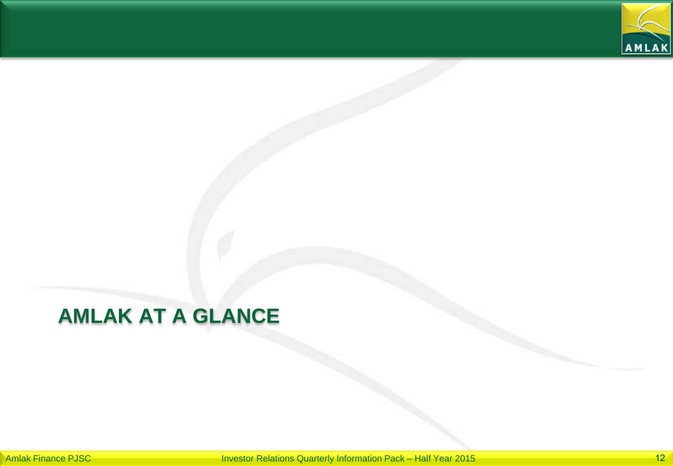

# **AMLAK AT A GLANCE**

Amlak Finance PJSC **Investor Relations Quarterly Information Pack – Half Year 2015** 12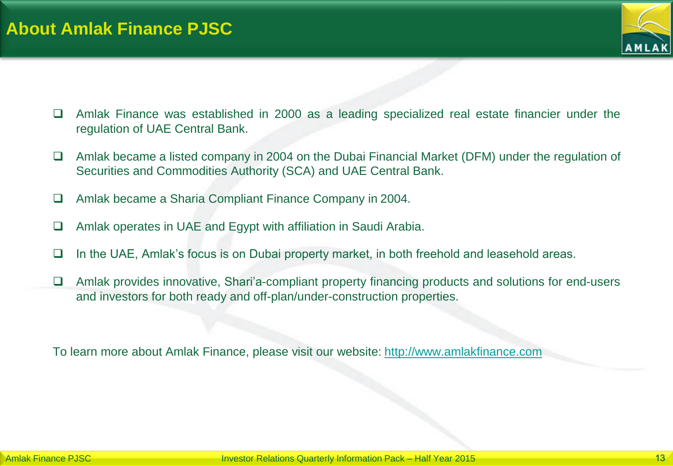

- Amlak Finance was established in 2000 as a leading specialized real estate financier under the regulation of UAE Central Bank.
- $\Box$  Amlak became a listed company in 2004 on the Dubai Financial Market (DFM) under the regulation of Securities and Commodities Authority (SCA) and UAE Central Bank.
- Amlak became a Sharia Compliant Finance Company in 2004.
- Amlak operates in UAE and Egypt with affiliation in Saudi Arabia.
- $\Box$  In the UAE, Amlak's focus is on Dubai property market, in both freehold and leasehold areas.
- □ Amlak provides innovative, Shari'a-compliant property financing products and solutions for end-users and investors for both ready and off-plan/under-construction properties.

To learn more about Amlak Finance, please visit our website: [http://www.amlakfinance.com](http://www.amlakfinance.com/)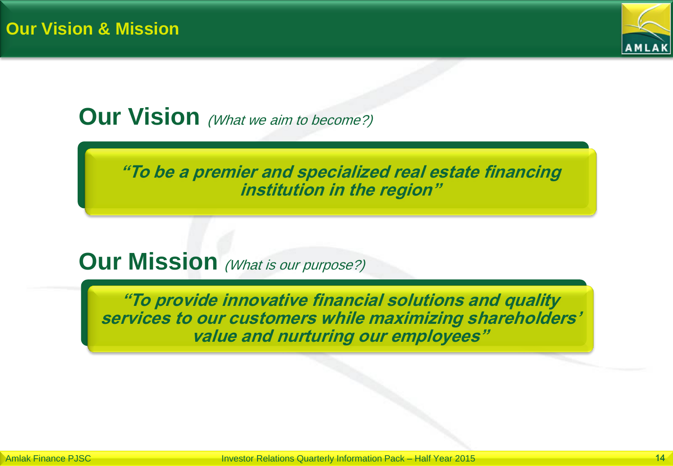

# **Our Vision** (What we aim to become?)

**"To be a premier and specialized real estate financing institution in the region"**

## **Our Mission** (What is our purpose?)

**"To provide innovative financial solutions and quality services to our customers while maximizing shareholders' value and nurturing our employees"**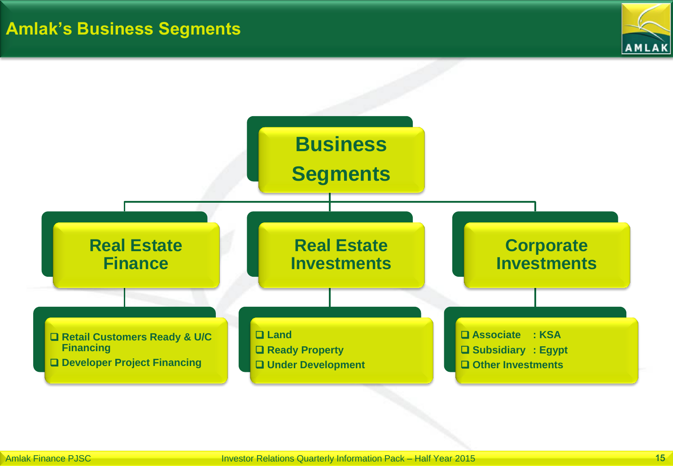![](_page_14_Picture_1.jpeg)

![](_page_14_Figure_2.jpeg)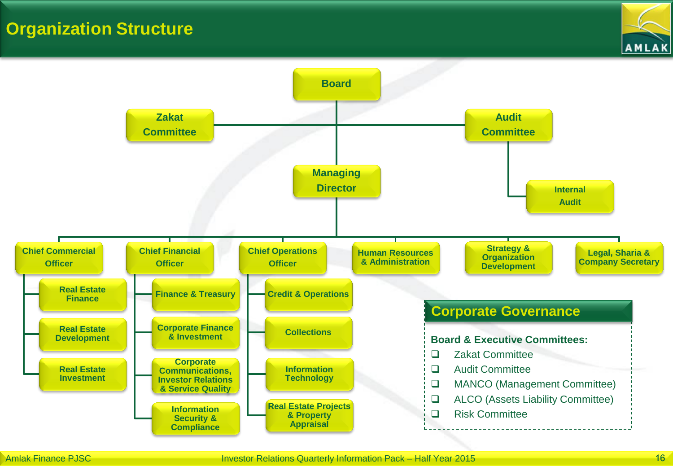### **Organization Structure**

![](_page_15_Picture_1.jpeg)

![](_page_15_Figure_2.jpeg)